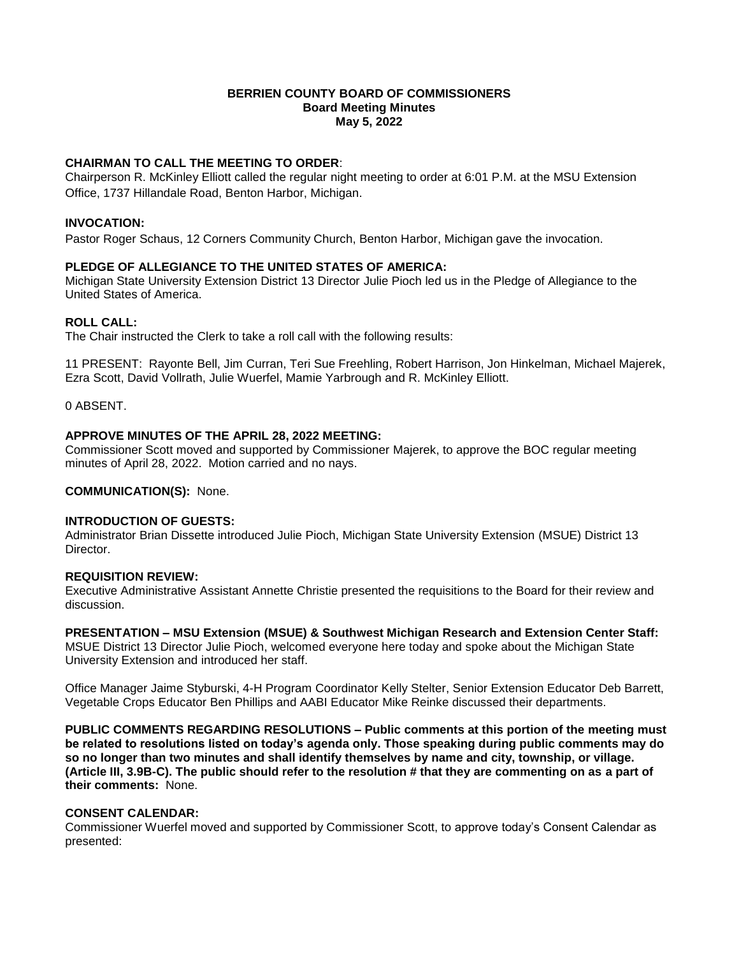## **BERRIEN COUNTY BOARD OF COMMISSIONERS Board Meeting Minutes May 5, 2022**

# **CHAIRMAN TO CALL THE MEETING TO ORDER**:

Chairperson R. McKinley Elliott called the regular night meeting to order at 6:01 P.M. at the MSU Extension Office, 1737 Hillandale Road, Benton Harbor, Michigan.

## **INVOCATION:**

Pastor Roger Schaus, 12 Corners Community Church, Benton Harbor, Michigan gave the invocation.

## **PLEDGE OF ALLEGIANCE TO THE UNITED STATES OF AMERICA:**

Michigan State University Extension District 13 Director Julie Pioch led us in the Pledge of Allegiance to the United States of America.

## **ROLL CALL:**

The Chair instructed the Clerk to take a roll call with the following results:

11 PRESENT: Rayonte Bell, Jim Curran, Teri Sue Freehling, Robert Harrison, Jon Hinkelman, Michael Majerek, Ezra Scott, David Vollrath, Julie Wuerfel, Mamie Yarbrough and R. McKinley Elliott.

0 ABSENT.

## **APPROVE MINUTES OF THE APRIL 28, 2022 MEETING:**

Commissioner Scott moved and supported by Commissioner Majerek, to approve the BOC regular meeting minutes of April 28, 2022. Motion carried and no nays.

## **COMMUNICATION(S):** None.

# **INTRODUCTION OF GUESTS:**

Administrator Brian Dissette introduced Julie Pioch, Michigan State University Extension (MSUE) District 13 Director.

## **REQUISITION REVIEW:**

Executive Administrative Assistant Annette Christie presented the requisitions to the Board for their review and discussion.

#### **PRESENTATION – MSU Extension (MSUE) & Southwest Michigan Research and Extension Center Staff:**

MSUE District 13 Director Julie Pioch, welcomed everyone here today and spoke about the Michigan State University Extension and introduced her staff.

Office Manager Jaime Styburski, 4-H Program Coordinator Kelly Stelter, Senior Extension Educator Deb Barrett, Vegetable Crops Educator Ben Phillips and AABI Educator Mike Reinke discussed their departments.

**PUBLIC COMMENTS REGARDING RESOLUTIONS – Public comments at this portion of the meeting must be related to resolutions listed on today's agenda only. Those speaking during public comments may do so no longer than two minutes and shall identify themselves by name and city, township, or village. (Article III, 3.9B-C). The public should refer to the resolution # that they are commenting on as a part of their comments:** None.

#### **CONSENT CALENDAR:**

Commissioner Wuerfel moved and supported by Commissioner Scott, to approve today's Consent Calendar as presented: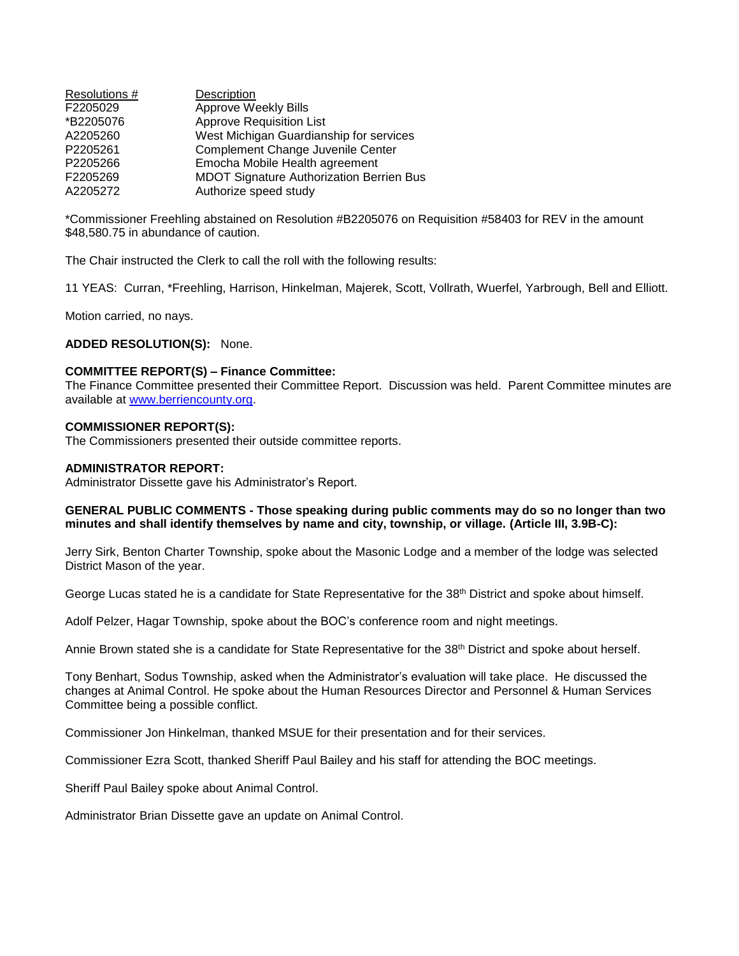| Resolutions # | Description                                     |
|---------------|-------------------------------------------------|
| F2205029      | Approve Weekly Bills                            |
| *B2205076     | <b>Approve Requisition List</b>                 |
| A2205260      | West Michigan Guardianship for services         |
| P2205261      | Complement Change Juvenile Center               |
| P2205266      | Emocha Mobile Health agreement                  |
| F2205269      | <b>MDOT Signature Authorization Berrien Bus</b> |
| A2205272      | Authorize speed study                           |

\*Commissioner Freehling abstained on Resolution #B2205076 on Requisition #58403 for REV in the amount \$48,580.75 in abundance of caution.

The Chair instructed the Clerk to call the roll with the following results:

11 YEAS: Curran, \*Freehling, Harrison, Hinkelman, Majerek, Scott, Vollrath, Wuerfel, Yarbrough, Bell and Elliott.

Motion carried, no nays.

## **ADDED RESOLUTION(S):** None.

## **COMMITTEE REPORT(S) – Finance Committee:**

The Finance Committee presented their Committee Report. Discussion was held. Parent Committee minutes are available at [www.berriencounty.org.](http://www.berriencounty.org/)

## **COMMISSIONER REPORT(S):**

The Commissioners presented their outside committee reports.

## **ADMINISTRATOR REPORT:**

Administrator Dissette gave his Administrator's Report.

## **GENERAL PUBLIC COMMENTS - Those speaking during public comments may do so no longer than two minutes and shall identify themselves by name and city, township, or village. (Article III, 3.9B-C):**

Jerry Sirk, Benton Charter Township, spoke about the Masonic Lodge and a member of the lodge was selected District Mason of the year.

George Lucas stated he is a candidate for State Representative for the 38th District and spoke about himself.

Adolf Pelzer, Hagar Township, spoke about the BOC's conference room and night meetings.

Annie Brown stated she is a candidate for State Representative for the 38th District and spoke about herself.

Tony Benhart, Sodus Township, asked when the Administrator's evaluation will take place. He discussed the changes at Animal Control. He spoke about the Human Resources Director and Personnel & Human Services Committee being a possible conflict.

Commissioner Jon Hinkelman, thanked MSUE for their presentation and for their services.

Commissioner Ezra Scott, thanked Sheriff Paul Bailey and his staff for attending the BOC meetings.

Sheriff Paul Bailey spoke about Animal Control.

Administrator Brian Dissette gave an update on Animal Control.